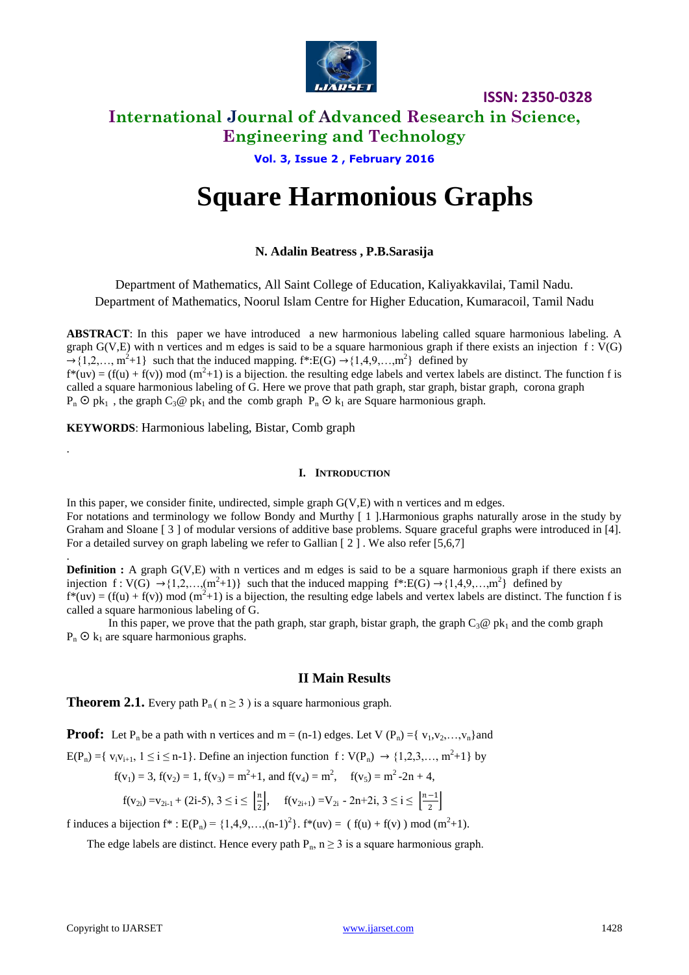

**ISSN: 2350-0328**

### **International Journal of Advanced Research in Science, Engineering and Technology**

### **Vol. 3, Issue 2 , February 2016**

# **Square Harmonious Graphs**

### **N. Adalin Beatress , P.B.Sarasija**

Department of Mathematics, All Saint College of Education, Kaliyakkavilai, Tamil Nadu. Department of Mathematics, Noorul Islam Centre for Higher Education, Kumaracoil, Tamil Nadu

**ABSTRACT**: In this paper we have introduced a new harmonious labeling called square harmonious labeling. A graph  $G(V,E)$  with n vertices and m edges is said to be a square harmonious graph if there exists an injection  $f: V(G)$  $\rightarrow$  {1,2,…, m<sup>2</sup>+1} such that the induced mapping. f\*:E(G)  $\rightarrow$  {1,4,9,…,m<sup>2</sup>} defined by

 $f^*(uv) = (f(u) + f(v)) \text{ mod } (m^2 + 1)$  is a bijection, the resulting edge labels and vertex labels are distinct. The function f is called a square harmonious labeling of G. Here we prove that path graph, star graph, bistar graph, corona graph  $P_n$   $\odot$   $pk_1$ , the graph  $C_3$   $\odot$   $pk_1$  and the comb graph  $P_n$   $\odot$   $k_1$  are Square harmonious graph.

**KEYWORDS**: Harmonious labeling, Bistar, Comb graph

#### **I. INTRODUCTION**

In this paper, we consider finite, undirected, simple graph G(V,E) with n vertices and m edges. For notations and terminology we follow Bondy and Murthy [ 1 ].Harmonious graphs naturally arose in the study by Graham and Sloane [ 3 ] of modular versions of additive base problems. Square graceful graphs were introduced in [4]. For a detailed survey on graph labeling we refer to Gallian  $[2]$ . We also refer [5,6,7]

**Definition :** A graph G(V,E) with n vertices and m edges is said to be a square harmonious graph if there exists an injection  $f: V(G) \rightarrow \{1, 2, ..., (m^2+1)\}$  such that the induced mapping  $f^*: E(G) \rightarrow \{1, 4, 9, ..., m^2\}$  defined by  $f^*(uv) = (f(u) + f(v)) \text{ mod } (m^2 + 1)$  is a bijection, the resulting edge labels and vertex labels are distinct. The function f is called a square harmonious labeling of G.

In this paper, we prove that the path graph, star graph, bistar graph, the graph  $C_3@$  pk<sub>1</sub> and the comb graph  $P_n$   $\odot$   $k_1$  are square harmonious graphs.

### **II Main Results**

**Theorem 2.1.** Every path  $P_n$  ( $n \ge 3$ ) is a square harmonious graph.

**Proof:** Let P<sub>n</sub> be a path with n vertices and  $m = (n-1)$  edges. Let V  $(P_n) = \{v_1, v_2, ..., v_n\}$  and

 $E(P_n) = \{ v_i v_{i+1}, 1 \le i \le n-1 \}$ . Define an injection function  $f : V(P_n) \to \{1, 2, 3, ..., m^2 + 1\}$  by

$$
f(v_1) = 3
$$
,  $f(v_2) = 1$ ,  $f(v_3) = m^2 + 1$ , and  $f(v_4) = m^2$ ,  $f(v_5) = m^2 - 2n + 4$ ,

$$
f(v_{2i}) = v_{2i-1} + (2i-5), 3 \le i \le \left\lfloor \frac{n}{2} \right\rfloor, \quad f(v_{2i+1}) = V_{2i} - 2n + 2i, 3 \le i \le \left\lfloor \frac{n-1}{2} \right\rfloor
$$

f induces a bijection  $f^*: E(P_n) = \{1,4,9,...,(n-1)^2\}$ .  $f^*(uv) = (f(u) + f(v)) \text{ mod } (m^2+1)$ .

The edge labels are distinct. Hence every path  $P_n$ ,  $n \ge 3$  is a square harmonious graph.

.

.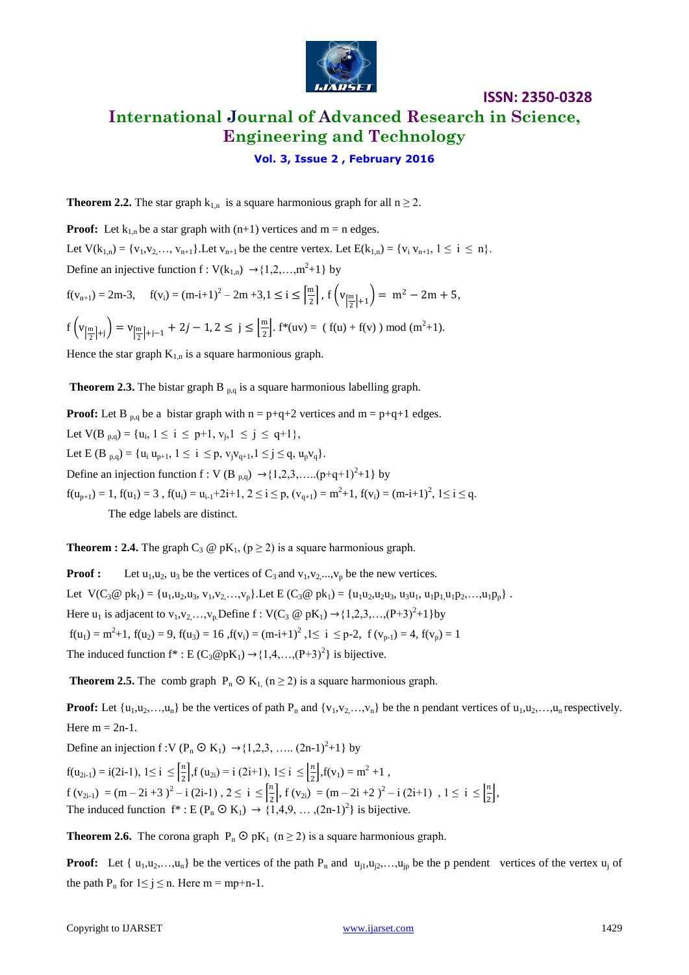

## **ISSN: 2350-0328 International Journal of Advanced Research in Science, Engineering and Technology**

### **Vol. 3, Issue 2 , February 2016**

**Theorem 2.2.** The star graph  $k_{1,n}$  is a square harmonious graph for all  $n \ge 2$ .

**Proof:** Let  $k_{1,n}$  be a star graph with  $(n+1)$  vertices and  $m = n$  edges. Let  $V(k_{1,n}) = \{v_1, v_2, ..., v_{n+1}\}\$ . Let  $v_{n+1}$  be the centre vertex. Let  $E(k_{1,n}) = \{v_i, v_{n+1}, 1 \le i \le n\}$ . Define an injective function  $f: V(k_{1,n}) \rightarrow \{1,2,...,m^2+1\}$  by

$$
f(v_{n+1}) = 2m-3, \quad f(v_i) = (m-i+1)^2 - 2m + 3, 1 \le i \le \left\lceil \frac{m}{2} \right\rceil, \ f\left(v_{\left\lceil \frac{m}{2} \right\rceil + 1}\right) = m^2 - 2m + 5,
$$

$$
f\left(v_{\left[\frac{m}{2}\right]+j}\right)=v_{\left[\frac{m}{2}\right]+j-1}+2j-1, 2\leq j\leq \left\lfloor \frac{m}{2}\right\rfloor \text{. }f^{*}(uv)=(\text{ }f(u)+f(v) \text{ ) mod }(m^{2}+1).
$$

Hence the star graph  $K_{1,n}$  is a square harmonious graph.

**Theorem 2.3.** The bistar graph  $B_{p,q}$  is a square harmonious labelling graph.

**Proof:** Let B <sub>p,q</sub> be a bistar graph with  $n = p+q+2$  vertices and  $m = p+q+1$  edges. Let  $V(B_{p,q}) = \{u_i, 1 \le i \le p+1, v_j, 1 \le j \le q+1\},\$ Let E (B <sub>p,q</sub>) = {u<sub>i</sub> u<sub>p+1</sub>, 1 ≤ i ≤ p, v<sub>i</sub>v<sub>q+1</sub>, 1 ≤ j ≤ q, u<sub>p</sub>v<sub>q</sub>}. Define an injection function f: V (B  $_{p,q}$ )  $\rightarrow$  {1,2,3,.....(p+q+1)<sup>2</sup>+1} by  $f(u_{p+1}) = 1$ ,  $f(u_1) = 3$ ,  $f(u_i) = u_{i-1} + 2i + 1$ ,  $2 \le i \le p$ ,  $(v_{q+1}) = m^2 + 1$ ,  $f(v_i) = (m-i+1)^2$ ,  $1 \le i \le q$ . The edge labels are distinct.

**Theorem : 2.4.** The graph  $C_3 \otimes pK_1$ ,  $(p \ge 2)$  is a square harmonious graph.

**Proof :** Let  $u_1, u_2, u_3$  be the vertices of  $C_3$  and  $v_1, v_2, ..., v_p$  be the new vertices. Let  $V(C_3@ pk_1) = {u_1,u_2,u_3, v_1,v_2,...,v_p}.$  Let  $E(C_3@ pk_1) = {u_1u_2,u_2u_3, u_3u_1, u_1p_1,u_1p_2,...,u_1p_p}.$ Here  $u_1$  is adjacent to  $v_1, v_2, ..., v_p$  Define  $f: V(C_3 \otimes pK_1) \rightarrow \{1, 2, 3, ..., (P+3)^2 + 1\}$  by  $f(u_1) = m^2 + 1$ ,  $f(u_2) = 9$ ,  $f(u_3) = 16$ ,  $f(v_i) = (m-i+1)^2$ ,  $1 \le i \le p-2$ ,  $f(v_{p-1}) = 4$ ,  $f(v_p) = 1$ The induced function  $f^*: E(C_3 \mathcal{Q} pK_1) \rightarrow \{1,4,\ldots,(P+3)^2\}$  is bijective.

**Theorem 2.5.** The comb graph  $P_n \nO K_1$  ( $n \ge 2$ ) is a square harmonious graph.

**Proof:** Let  $\{u_1, u_2, \ldots, u_n\}$  be the vertices of path  $P_n$  and  $\{v_1, v_2, \ldots, v_n\}$  be the n pendant vertices of  $u_1, u_2, \ldots, u_n$  respectively. Here  $m = 2n-1$ .

Define an injection  $f: V(P_n \odot K_1) \rightarrow \{1,2,3, \dots, (2n-1)^2+1\}$  by

 $f(u_{2i-1}) = i(2i-1), 1 \le i \le \frac{n}{2}$  $\left[\frac{n}{2}\right]$ ,f (u<sub>2i</sub>) = i (2i+1), 1 ≤ i ≤  $\left[\frac{n}{2}\right]$  $\frac{n}{2}$ , f(v<sub>1</sub>) = m<sup>2</sup> +1,  $f(v_{2i-1}) = (m-2i+3)^2 - i(2i-1), 2 \leq i \leq \frac{n}{2}$  $\left(\frac{n}{2}\right)$ , f (v<sub>2i</sub>) = (m - 2i + 2)<sup>2</sup> - i (2i+1), 1 ≤ i ≤ $\left(\frac{n}{2}\right)$  $\frac{n}{2}$ , The induced function  $f^*: E(P_n \odot K_1) \rightarrow \{1,4,9,\ldots,(2n-1)^2\}$  is bijective.

**Theorem 2.6.** The corona graph  $P_n \n\odot pK_1$  (n  $\geq$  2) is a square harmonious graph.

**Proof:** Let  $\{u_1, u_2, \ldots, u_n\}$  be the vertices of the path  $P_n$  and  $u_{i1}, u_{i2}, \ldots, u_{ip}$  be the p pendent vertices of the vertex  $u_i$  of the path  $P_n$  for  $1 \le j \le n$ . Here  $m = mp+n-1$ .